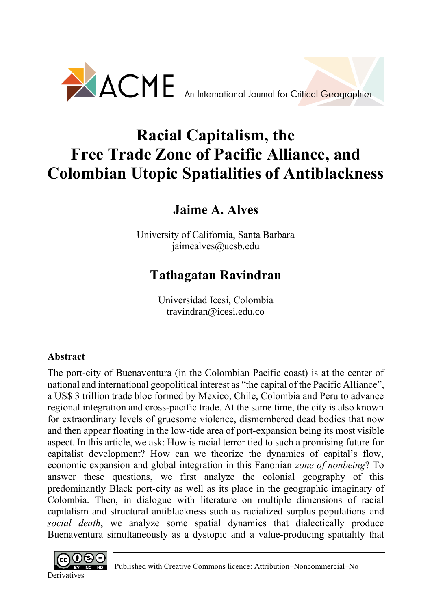

# **Racial Capitalism, the Free Trade Zone of Pacific Alliance, and Colombian Utopic Spatialities of Antiblackness**

**Jaime A. Alves**

University of California, Santa Barbara jaimealves@ucsb.edu

# **Tathagatan Ravindran**

Universidad Icesi, Colombia [travindran@icesi.edu.co](mailto:travindran@icesi.edu.co)

# **Abstract**

The port-city of Buenaventura (in the Colombian Pacific coast) is at the center of national and international geopolitical interest as "the capital of the Pacific Alliance", a US\$ 3 trillion trade bloc formed by Mexico, Chile, Colombia and Peru to advance regional integration and cross-pacific trade. At the same time, the city is also known for extraordinary levels of gruesome violence, dismembered dead bodies that now and then appear floating in the low-tide area of port-expansion being its most visible aspect. In this article, we ask: How is racial terror tied to such a promising future for capitalist development? How can we theorize the dynamics of capital's flow, economic expansion and global integration in this Fanonian *zone of nonbeing*? To answer these questions, we first analyze the colonial geography of this predominantly Black port-city as well as its place in the geographic imaginary of Colombia. Then, in dialogue with literature on multiple dimensions of racial capitalism and structural antiblackness such as racialized surplus populations and *social death*, we analyze some spatial dynamics that dialectically produce Buenaventura simultaneously as a dystopic and a value-producing spatiality that

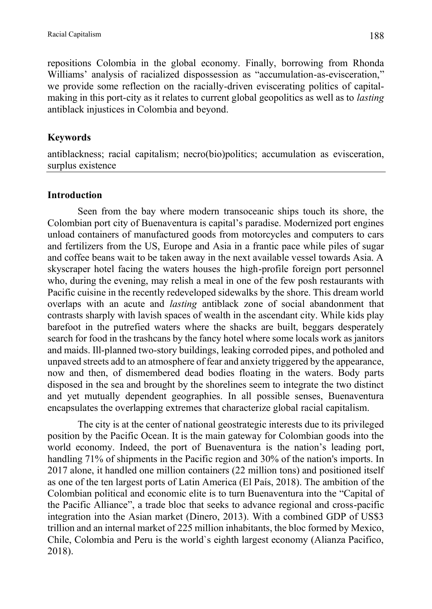repositions Colombia in the global economy. Finally, borrowing from Rhonda Williams' analysis of racialized dispossession as "accumulation-as-evisceration," we provide some reflection on the racially-driven eviscerating politics of capitalmaking in this port-city as it relates to current global geopolitics as well as to *lasting* antiblack injustices in Colombia and beyond.

## **Keywords**

antiblackness; racial capitalism; necro(bio)politics; accumulation as evisceration, surplus existence

## **Introduction**

Seen from the bay where modern transoceanic ships touch its shore, the Colombian port city of Buenaventura is capital's paradise. Modernized port engines unload containers of manufactured goods from motorcycles and computers to cars and fertilizers from the US, Europe and Asia in a frantic pace while piles of sugar and coffee beans wait to be taken away in the next available vessel towards Asia. A skyscraper hotel facing the waters houses the high-profile foreign port personnel who, during the evening, may relish a meal in one of the few posh restaurants with Pacific cuisine in the recently redeveloped sidewalks by the shore. This dream world overlaps with an acute and *lasting* antiblack zone of social abandonment that contrasts sharply with lavish spaces of wealth in the ascendant city. While kids play barefoot in the putrefied waters where the shacks are built, beggars desperately search for food in the trashcans by the fancy hotel where some locals work as janitors and maids. Ill-planned two-story buildings, leaking corroded pipes, and potholed and unpaved streets add to an atmosphere of fear and anxiety triggered by the appearance, now and then, of dismembered dead bodies floating in the waters. Body parts disposed in the sea and brought by the shorelines seem to integrate the two distinct and yet mutually dependent geographies. In all possible senses, Buenaventura encapsulates the overlapping extremes that characterize global racial capitalism.

The city is at the center of national geostrategic interests due to its privileged position by the Pacific Ocean. It is the main gateway for Colombian goods into the world economy. Indeed, the port of Buenaventura is the nation's leading port, handling 71% of shipments in the Pacific region and 30% of the nation's imports. In 2017 alone, it handled one million containers (22 million tons) and positioned itself as one of the ten largest ports of Latin America (El País, 2018). The ambition of the Colombian political and economic elite is to turn Buenaventura into the "Capital of the Pacific Alliance", a trade bloc that seeks to advance regional and cross-pacific integration into the Asian market (Dinero, 2013). With a combined GDP of US\$3 trillion and an internal market of 225 million inhabitants, the bloc formed by Mexico, Chile, Colombia and Peru is the world`s eighth largest economy (Alianza Pacifico, 2018).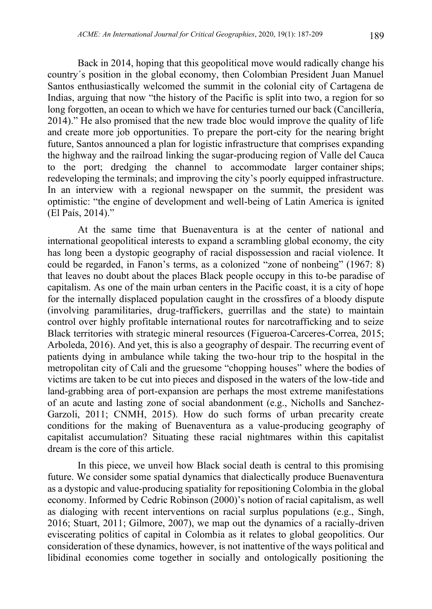Back in 2014, hoping that this geopolitical move would radically change his country´s position in the global economy, then Colombian President Juan Manuel Santos enthusiastically welcomed the summit in the colonial city of Cartagena de Indias, arguing that now "the history of the Pacific is split into two, a region for so long forgotten, an ocean to which we have for centuries turned our back (Cancillería, 2014)." He also promised that the new trade bloc would improve the quality of life and create more job opportunities. To prepare the port-city for the nearing bright future, Santos announced a plan for logistic infrastructure that comprises expanding the highway and the railroad linking the sugar-producing region of Valle del Cauca to the port; dredging the channel to accommodate larger container ships; redeveloping the terminals; and improving the city's poorly equipped infrastructure. In an interview with a regional newspaper on the summit, the president was optimistic: "the engine of development and well-being of Latin America is ignited (El País, 2014)."

At the same time that Buenaventura is at the center of national and international geopolitical interests to expand a scrambling global economy, the city has long been a dystopic geography of racial dispossession and racial violence. It could be regarded, in Fanon's terms, as a colonized "zone of nonbeing" (1967: 8) that leaves no doubt about the places Black people occupy in this to-be paradise of capitalism. As one of the main urban centers in the Pacific coast, it is a city of hope for the internally displaced population caught in the crossfires of a bloody dispute (involving paramilitaries, drug-traffickers, guerrillas and the state) to maintain control over highly profitable international routes for narcotrafficking and to seize Black territories with strategic mineral resources (Figueroa-Carceres-Correa, 2015; Arboleda, 2016). And yet, this is also a geography of despair. The recurring event of patients dying in ambulance while taking the two-hour trip to the hospital in the metropolitan city of Cali and the gruesome "chopping houses" where the bodies of victims are taken to be cut into pieces and disposed in the waters of the low-tide and land-grabbing area of port-expansion are perhaps the most extreme manifestations of an acute and lasting zone of social abandonment (e.g., Nicholls and Sanchez-Garzoli, 2011; CNMH, 2015). How do such forms of urban precarity create conditions for the making of Buenaventura as a value-producing geography of capitalist accumulation? Situating these racial nightmares within this capitalist dream is the core of this article.

In this piece, we unveil how Black social death is central to this promising future. We consider some spatial dynamics that dialectically produce Buenaventura as a dystopic and value-producing spatiality for repositioning Colombia in the global economy. Informed by Cedric Robinson (2000)'s notion of racial capitalism, as well as dialoging with recent interventions on racial surplus populations (e.g., Singh, 2016; Stuart, 2011; Gilmore, 2007), we map out the dynamics of a racially-driven eviscerating politics of capital in Colombia as it relates to global geopolitics. Our consideration of these dynamics, however, is not inattentive of the ways political and libidinal economies come together in socially and ontologically positioning the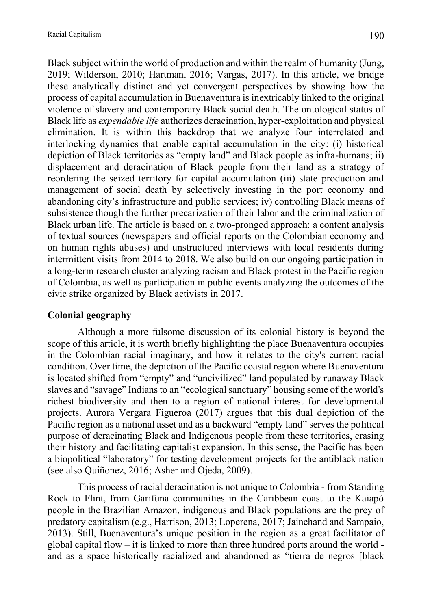Black subject within the world of production and within the realm of humanity (Jung, 2019; Wilderson, 2010; Hartman, 2016; Vargas, 2017). In this article, we bridge these analytically distinct and yet convergent perspectives by showing how the process of capital accumulation in Buenaventura is inextricably linked to the original violence of slavery and contemporary Black social death. The ontological status of Black life as *expendable life* authorizes deracination, hyper-exploitation and physical elimination. It is within this backdrop that we analyze four interrelated and interlocking dynamics that enable capital accumulation in the city: (i) historical depiction of Black territories as "empty land" and Black people as infra-humans; ii) displacement and deracination of Black people from their land as a strategy of reordering the seized territory for capital accumulation (iii) state production and management of social death by selectively investing in the port economy and abandoning city's infrastructure and public services; iv) controlling Black means of subsistence though the further precarization of their labor and the criminalization of Black urban life. The article is based on a two-pronged approach: a content analysis of textual sources (newspapers and official reports on the Colombian economy and on human rights abuses) and unstructured interviews with local residents during intermittent visits from 2014 to 2018. We also build on our ongoing participation in a long-term research cluster analyzing racism and Black protest in the Pacific region of Colombia, as well as participation in public events analyzing the outcomes of the civic strike organized by Black activists in 2017.

# **Colonial geography**

Although a more fulsome discussion of its colonial history is beyond the scope of this article, it is worth briefly highlighting the place Buenaventura occupies in the Colombian racial imaginary, and how it relates to the city's current racial condition. Over time, the depiction of the Pacific coastal region where Buenaventura is located shifted from "empty" and "uncivilized" land populated by runaway Black slaves and "savage" Indians to an "ecological sanctuary" housing some of the world's richest biodiversity and then to a region of national interest for developmental projects. Aurora Vergara Figueroa (2017) argues that this dual depiction of the Pacific region as a national asset and as a backward "empty land" serves the political purpose of deracinating Black and Indigenous people from these territories, erasing their history and facilitating capitalist expansion. In this sense, the Pacific has been a biopolitical "laboratory" for testing development projects for the antiblack nation (see also Quiñonez, 2016; Asher and Ojeda, 2009).

This process of racial deracination is not unique to Colombia - from Standing Rock to Flint, from Garifuna communities in the Caribbean coast to the Kaiapó people in the Brazilian Amazon, indigenous and Black populations are the prey of predatory capitalism (e.g., Harrison, 2013; Loperena, 2017; Jainchand and Sampaio, 2013). Still, Buenaventura's unique position in the region as a great facilitator of global capital flow – it is linked to more than three hundred ports around the world and as a space historically racialized and abandoned as "tierra de negros [black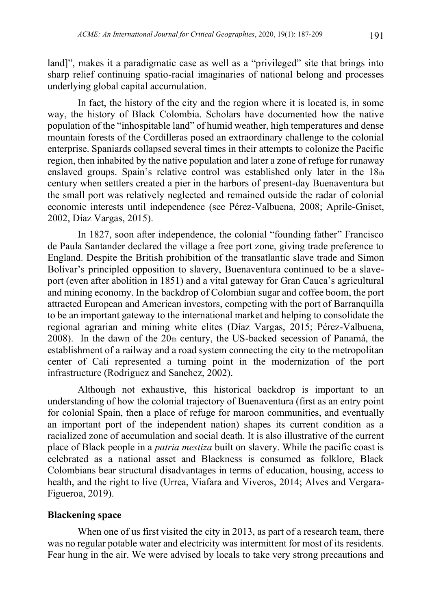land]", makes it a paradigmatic case as well as a "privileged" site that brings into sharp relief continuing spatio-racial imaginaries of national belong and processes underlying global capital accumulation.

In fact, the history of the city and the region where it is located is, in some way, the history of Black Colombia. Scholars have documented how the native population of the "inhospitable land" of humid weather, high temperatures and dense mountain forests of the Cordilleras posed an extraordinary challenge to the colonial enterprise. Spaniards collapsed several times in their attempts to colonize the Pacific region, then inhabited by the native population and later a zone of refuge for runaway enslaved groups. Spain's relative control was established only later in the 18th century when settlers created a pier in the harbors of present-day Buenaventura but the small port was relatively neglected and remained outside the radar of colonial economic interests until independence (see Pérez-Valbuena, 2008; Aprile-Gniset, 2002, Díaz Vargas, 2015).

In 1827, soon after independence, the colonial "founding father" Francisco de Paula Santander declared the village a free port zone, giving trade preference to England. Despite the British prohibition of the transatlantic slave trade and Simon Bolívar's principled opposition to slavery, Buenaventura continued to be a slaveport (even after abolition in 1851) and a vital gateway for Gran Cauca's agricultural and mining economy. In the backdrop of Colombian sugar and coffee boom, the port attracted European and American investors, competing with the port of Barranquilla to be an important gateway to the international market and helping to consolidate the regional agrarian and mining white elites (Díaz Vargas, 2015; Pérez-Valbuena, 2008). In the dawn of the 20th century, the US-backed secession of Panamá, the establishment of a railway and a road system connecting the city to the metropolitan center of Cali represented a turning point in the modernization of the port infrastructure (Rodriguez and Sanchez, 2002).

Although not exhaustive, this historical backdrop is important to an understanding of how the colonial trajectory of Buenaventura (first as an entry point for colonial Spain, then a place of refuge for maroon communities, and eventually an important port of the independent nation) shapes its current condition as a racialized zone of accumulation and social death. It is also illustrative of the current place of Black people in a *patria mestiza* built on slavery. While the pacific coast is celebrated as a national asset and Blackness is consumed as folklore, Black Colombians bear structural disadvantages in terms of education, housing, access to health, and the right to live (Urrea, Viafara and Viveros, 2014; Alves and Vergara-Figueroa, 2019).

#### **Blackening space**

When one of us first visited the city in 2013, as part of a research team, there was no regular potable water and electricity was intermittent for most of its residents. Fear hung in the air. We were advised by locals to take very strong precautions and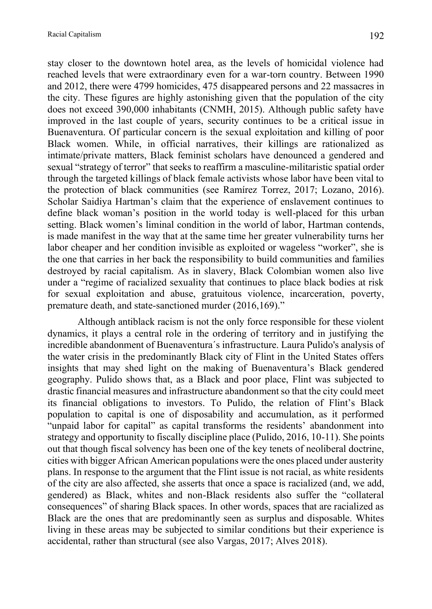stay closer to the downtown hotel area, as the levels of homicidal violence had reached levels that were extraordinary even for a war-torn country. Between 1990 and 2012, there were 4799 homicides, 475 disappeared persons and 22 massacres in the city. These figures are highly astonishing given that the population of the city does not exceed 390,000 inhabitants (CNMH, 2015). Although public safety have improved in the last couple of years, security continues to be a critical issue in Buenaventura. Of particular concern is the sexual exploitation and killing of poor Black women. While, in official narratives, their killings are rationalized as intimate/private matters, Black feminist scholars have denounced a gendered and sexual "strategy of terror" that seeks to reaffirm a masculine-militaristic spatial order through the targeted killings of black female activists whose labor have been vital to the protection of black communities (see Ramírez Torrez, 2017; Lozano, 2016). Scholar Saidiya Hartman's claim that the experience of enslavement continues to define black woman's position in the world today is well-placed for this urban setting. Black women's liminal condition in the world of labor, Hartman contends, is made manifest in the way that at the same time her greater vulnerability turns her labor cheaper and her condition invisible as exploited or wageless "worker", she is the one that carries in her back the responsibility to build communities and families destroyed by racial capitalism. As in slavery, Black Colombian women also live under a "regime of racialized sexuality that continues to place black bodies at risk for sexual exploitation and abuse, gratuitous violence, incarceration, poverty, premature death, and state-sanctioned murder (2016,169)."

Although antiblack racism is not the only force responsible for these violent dynamics, it plays a central role in the ordering of territory and in justifying the incredible abandonment of Buenaventura´s infrastructure. Laura Pulido's analysis of the water crisis in the predominantly Black city of Flint in the United States offers insights that may shed light on the making of Buenaventura's Black gendered geography. Pulido shows that, as a Black and poor place, Flint was subjected to drastic financial measures and infrastructure abandonment so that the city could meet its financial obligations to investors. To Pulido, the relation of Flint's Black population to capital is one of disposability and accumulation, as it performed "unpaid labor for capital" as capital transforms the residents' abandonment into strategy and opportunity to fiscally discipline place (Pulido, 2016, 10-11). She points out that though fiscal solvency has been one of the key tenets of neoliberal doctrine, cities with bigger African American populations were the ones placed under austerity plans. In response to the argument that the Flint issue is not racial, as white residents of the city are also affected, she asserts that once a space is racialized (and, we add, gendered) as Black, whites and non-Black residents also suffer the "collateral consequences" of sharing Black spaces. In other words, spaces that are racialized as Black are the ones that are predominantly seen as surplus and disposable. Whites living in these areas may be subjected to similar conditions but their experience is accidental, rather than structural (see also Vargas, 2017; Alves 2018).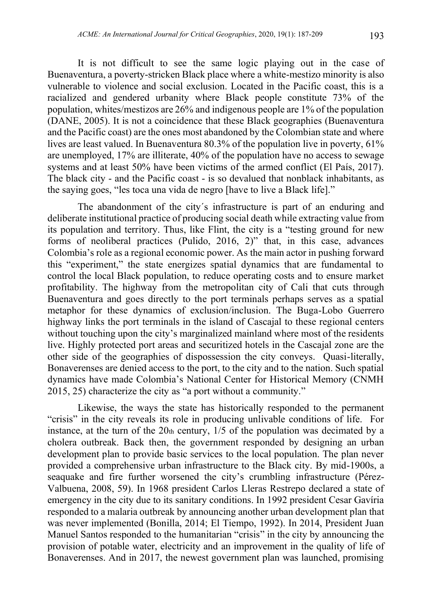It is not difficult to see the same logic playing out in the case of Buenaventura, a poverty-stricken Black place where a white-mestizo minority is also vulnerable to violence and social exclusion. Located in the Pacific coast, this is a racialized and gendered urbanity where Black people constitute 73% of the population, whites/mestizos are 26% and indigenous people are 1% of the population (DANE, 2005). It is not a coincidence that these Black geographies (Buenaventura and the Pacific coast) are the ones most abandoned by the Colombian state and where lives are least valued. In Buenaventura 80.3% of the population live in poverty, 61% are unemployed, 17% are illiterate, 40% of the population have no access to sewage systems and at least 50% have been victims of the armed conflict (El País, 2017). The black city - and the Pacific coast - is so devalued that nonblack inhabitants, as the saying goes, "les toca una vida de negro [have to live a Black life]."

The abandonment of the city´s infrastructure is part of an enduring and deliberate institutional practice of producing social death while extracting value from its population and territory. Thus, like Flint, the city is a "testing ground for new forms of neoliberal practices (Pulido, 2016, 2)" that, in this case, advances Colombia's role as a regional economic power. As the main actor in pushing forward this "experiment," the state energizes spatial dynamics that are fundamental to control the local Black population, to reduce operating costs and to ensure market profitability. The highway from the metropolitan city of Cali that cuts through Buenaventura and goes directly to the port terminals perhaps serves as a spatial metaphor for these dynamics of exclusion/inclusion. The Buga-Lobo Guerrero highway links the port terminals in the island of Cascajal to these regional centers without touching upon the city's marginalized mainland where most of the residents live. Highly protected port areas and securitized hotels in the Cascajal zone are the other side of the geographies of dispossession the city conveys. Quasi-literally, Bonaverenses are denied access to the port, to the city and to the nation. Such spatial dynamics have made Colombia's National Center for Historical Memory (CNMH 2015, 25) characterize the city as "a port without a community."

Likewise, the ways the state has historically responded to the permanent "crisis" in the city reveals its role in producing unlivable conditions of life. For instance, at the turn of the  $20<sub>th</sub>$  century,  $1/5$  of the population was decimated by a cholera outbreak. Back then, the government responded by designing an urban development plan to provide basic services to the local population. The plan never provided a comprehensive urban infrastructure to the Black city. By mid-1900s, a seaquake and fire further worsened the city's crumbling infrastructure (Pérez-Valbuena, 2008, 59). In 1968 president Carlos Lleras Restrepo declared a state of emergency in the city due to its sanitary conditions. In 1992 president Cesar Gavíria responded to a malaria outbreak by announcing another urban development plan that was never implemented (Bonilla, 2014; El Tiempo, 1992). In 2014, President Juan Manuel Santos responded to the humanitarian "crisis" in the city by announcing the provision of potable water, electricity and an improvement in the quality of life of Bonaverenses. And in 2017, the newest government plan was launched, promising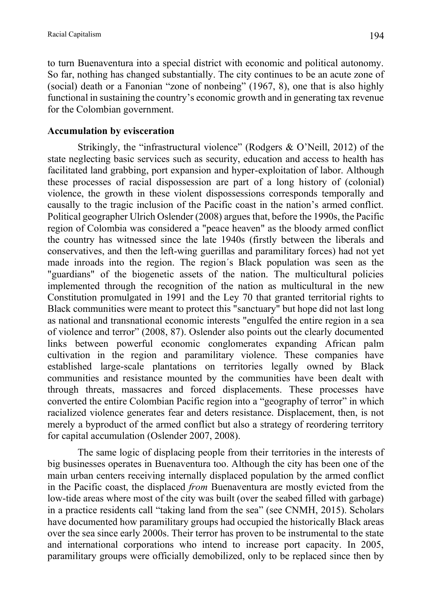to turn Buenaventura into a special district with economic and political autonomy. So far, nothing has changed substantially. The city continues to be an acute zone of (social) death or a Fanonian "zone of nonbeing" (1967, 8), one that is also highly functional in sustaining the country's economic growth and in generating tax revenue for the Colombian government.

# **Accumulation by evisceration**

Strikingly, the "infrastructural violence" (Rodgers & O'Neill, 2012) of the state neglecting basic services such as security, education and access to health has facilitated land grabbing, port expansion and hyper-exploitation of labor. Although these processes of racial dispossession are part of a long history of (colonial) violence, the growth in these violent dispossessions corresponds temporally and causally to the tragic inclusion of the Pacific coast in the nation's armed conflict. Political geographer Ulrich Oslender (2008) argues that, before the 1990s, the Pacific region of Colombia was considered a "peace heaven" as the bloody armed conflict the country has witnessed since the late 1940s (firstly between the liberals and conservatives, and then the left-wing guerillas and paramilitary forces) had not yet made inroads into the region. The region´s Black population was seen as the "guardians" of the biogenetic assets of the nation. The multicultural policies implemented through the recognition of the nation as multicultural in the new Constitution promulgated in 1991 and the Ley 70 that granted territorial rights to Black communities were meant to protect this "sanctuary" but hope did not last long as national and transnational economic interests "engulfed the entire region in a sea of violence and terror" (2008, 87). Oslender also points out the clearly documented links between powerful economic conglomerates expanding African palm cultivation in the region and paramilitary violence. These companies have established large-scale plantations on territories legally owned by Black communities and resistance mounted by the communities have been dealt with through threats, massacres and forced displacements. These processes have converted the entire Colombian Pacific region into a "geography of terror" in which racialized violence generates fear and deters resistance. Displacement, then, is not merely a byproduct of the armed conflict but also a strategy of reordering territory for capital accumulation (Oslender 2007, 2008).

The same logic of displacing people from their territories in the interests of big businesses operates in Buenaventura too. Although the city has been one of the main urban centers receiving internally displaced population by the armed conflict in the Pacific coast, the displaced *from* Buenaventura are mostly evicted from the low-tide areas where most of the city was built (over the seabed filled with garbage) in a practice residents call "taking land from the sea" (see CNMH, 2015). Scholars have documented how paramilitary groups had occupied the historically Black areas over the sea since early 2000s. Their terror has proven to be instrumental to the state and international corporations who intend to increase port capacity. In 2005, paramilitary groups were officially demobilized, only to be replaced since then by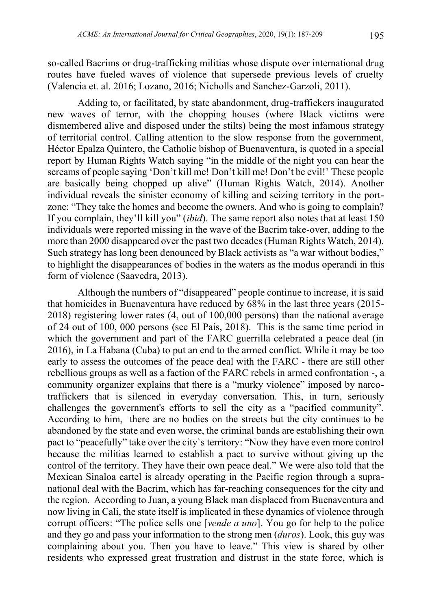so-called Bacrims or drug-trafficking militias whose dispute over international drug routes have fueled waves of violence that supersede previous levels of cruelty (Valencia et. al. 2016; Lozano, 2016; Nicholls and Sanchez-Garzoli, 2011).

Adding to, or facilitated, by state abandonment, drug-traffickers inaugurated new waves of terror, with the chopping houses (where Black victims were dismembered alive and disposed under the stilts) being the most infamous strategy of territorial control. Calling attention to the slow response from the government, Héctor Epalza Quintero, the Catholic bishop of Buenaventura, is quoted in a special report by Human Rights Watch saying "in the middle of the night you can hear the screams of people saying 'Don't kill me! Don't kill me! Don't be evil!' These people are basically being chopped up alive" (Human Rights Watch, 2014). Another individual reveals the sinister economy of killing and seizing territory in the portzone: "They take the homes and become the owners. And who is going to complain? If you complain, they'll kill you" (*ibid*). The same report also notes that at least 150 individuals were reported missing in the wave of the Bacrim take-over, adding to the more than 2000 disappeared over the past two decades (Human Rights Watch, 2014). Such strategy has long been denounced by Black activists as "a war without bodies," to highlight the disappearances of bodies in the waters as the modus operandi in this form of violence (Saavedra, 2013).

Although the numbers of "disappeared" people continue to increase, it is said that homicides in Buenaventura have reduced by 68% in the last three years (2015- 2018) registering lower rates (4, out of 100,000 persons) than the national average of 24 out of 100, 000 persons (see El País, 2018). This is the same time period in which the government and part of the FARC guerrilla celebrated a peace deal (in 2016), in La Habana (Cuba) to put an end to the armed conflict. While it may be too early to assess the outcomes of the peace deal with the FARC - there are still other rebellious groups as well as a faction of the FARC rebels in armed confrontation -, a community organizer explains that there is a "murky violence" imposed by narcotraffickers that is silenced in everyday conversation. This, in turn, seriously challenges the government's efforts to sell the city as a "pacified community". According to him, there are no bodies on the streets but the city continues to be abandoned by the state and even worse, the criminal bands are establishing their own pact to "peacefully" take over the city`s territory: "Now they have even more control because the militias learned to establish a pact to survive without giving up the control of the territory. They have their own peace deal." We were also told that the Mexican Sinaloa cartel is already operating in the Pacific region through a supranational deal with the Bacrim, which has far-reaching consequences for the city and the region. According to Juan, a young Black man displaced from Buenaventura and now living in Cali, the state itself is implicated in these dynamics of violence through corrupt officers: "The police sells one [*vende a uno*]. You go for help to the police and they go and pass your information to the strong men (*duros*). Look, this guy was complaining about you. Then you have to leave." This view is shared by other residents who expressed great frustration and distrust in the state force, which is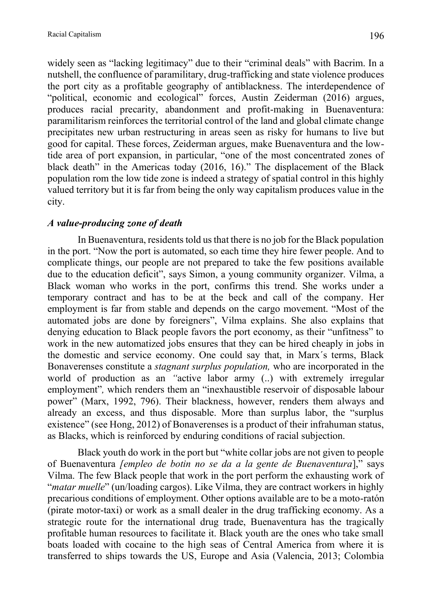widely seen as "lacking legitimacy" due to their "criminal deals" with Bacrim. In a nutshell, the confluence of paramilitary, drug-trafficking and state violence produces the port city as a profitable geography of antiblackness. The interdependence of "political, economic and ecological" forces, Austin Zeiderman (2016) argues, produces racial precarity, abandonment and profit-making in Buenaventura: paramilitarism reinforces the territorial control of the land and global climate change precipitates new urban restructuring in areas seen as risky for humans to live but good for capital. These forces, Zeiderman argues, make Buenaventura and the lowtide area of port expansion, in particular, "one of the most concentrated zones of black death" in the Americas today (2016, 16)." The displacement of the Black population rom the low tide zone is indeed a strategy of spatial control in this highly valued territory but it is far from being the only way capitalism produces value in the city.

# *A value-producing zone of death*

In Buenaventura, residents told us that there is no job for the Black population in the port. "Now the port is automated, so each time they hire fewer people. And to complicate things, our people are not prepared to take the few positions available due to the education deficit", says Simon, a young community organizer. Vilma, a Black woman who works in the port, confirms this trend. She works under a temporary contract and has to be at the beck and call of the company. Her employment is far from stable and depends on the cargo movement. "Most of the automated jobs are done by foreigners", Vilma explains. She also explains that denying education to Black people favors the port economy, as their "unfitness" to work in the new automatized jobs ensures that they can be hired cheaply in jobs in the domestic and service economy. One could say that, in Marx´s terms, Black Bonaverenses constitute a *stagnant surplus population,* who are incorporated in the world of production as an *"*active labor army (..) with extremely irregular employment"*,* which renders them an "inexhaustible reservoir of disposable labour power" (Marx, 1992, 796). Their blackness, however, renders them always and already an excess, and thus disposable. More than surplus labor, the "surplus existence" (see Hong, 2012) of Bonaverenses is a product of their infrahuman status, as Blacks, which is reinforced by enduring conditions of racial subjection.

Black youth do work in the port but "white collar jobs are not given to people of Buenaventura *[empleo de botin no se da a la gente de Buenaventura*]," says Vilma. The few Black people that work in the port perform the exhausting work of "*matar muelle*" (un/loading cargos). Like Vilma, they are contract workers in highly precarious conditions of employment. Other options available are to be a moto-ratón (pirate motor-taxi) or work as a small dealer in the drug trafficking economy. As a strategic route for the international drug trade, Buenaventura has the tragically profitable human resources to facilitate it. Black youth are the ones who take small boats loaded with cocaine to the high seas of Central America from where it is transferred to ships towards the US, Europe and Asia (Valencia, 2013; Colombia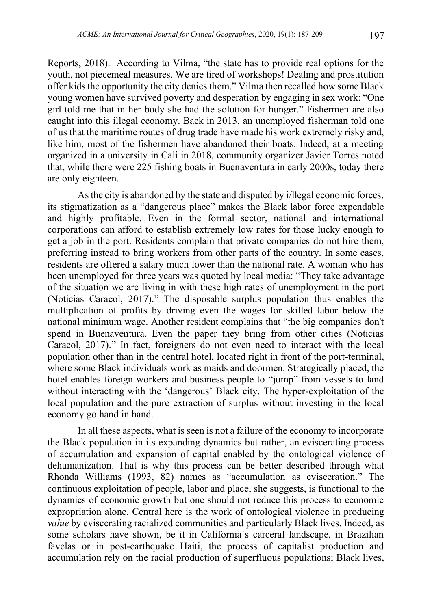Reports, 2018). According to Vilma, "the state has to provide real options for the youth, not piecemeal measures. We are tired of workshops! Dealing and prostitution offer kids the opportunity the city denies them." Vilma then recalled how some Black young women have survived poverty and desperation by engaging in sex work: "One girl told me that in her body she had the solution for hunger." Fishermen are also caught into this illegal economy. Back in 2013, an unemployed fisherman told one of us that the maritime routes of drug trade have made his work extremely risky and, like him, most of the fishermen have abandoned their boats. Indeed, at a meeting organized in a university in Cali in 2018, community organizer Javier Torres noted that, while there were 225 fishing boats in Buenaventura in early 2000s, today there are only eighteen.

As the city is abandoned by the state and disputed by i/llegal economic forces, its stigmatization as a "dangerous place" makes the Black labor force expendable and highly profitable. Even in the formal sector, national and international corporations can afford to establish extremely low rates for those lucky enough to get a job in the port. Residents complain that private companies do not hire them, preferring instead to bring workers from other parts of the country. In some cases, residents are offered a salary much lower than the national rate. A woman who has been unemployed for three years was quoted by local media: "They take advantage of the situation we are living in with these high rates of unemployment in the port (Noticias Caracol, 2017)." The disposable surplus population thus enables the multiplication of profits by driving even the wages for skilled labor below the national minimum wage. Another resident complains that "the big companies don't spend in Buenaventura. Even the paper they bring from other cities (Noticias Caracol, 2017)." In fact, foreigners do not even need to interact with the local population other than in the central hotel, located right in front of the port-terminal, where some Black individuals work as maids and doormen. Strategically placed, the hotel enables foreign workers and business people to "jump" from vessels to land without interacting with the 'dangerous' Black city. The hyper-exploitation of the local population and the pure extraction of surplus without investing in the local economy go hand in hand.

In all these aspects, what is seen is not a failure of the economy to incorporate the Black population in its expanding dynamics but rather, an eviscerating process of accumulation and expansion of capital enabled by the ontological violence of dehumanization. That is why this process can be better described through what Rhonda Williams (1993, 82) names as "accumulation as evisceration." The continuous exploitation of people, labor and place, she suggests, is functional to the dynamics of economic growth but one should not reduce this process to economic expropriation alone. Central here is the work of ontological violence in producing *value* by eviscerating racialized communities and particularly Black lives. Indeed, as some scholars have shown, be it in California´s carceral landscape, in Brazilian favelas or in post-earthquake Haiti, the process of capitalist production and accumulation rely on the racial production of superfluous populations; Black lives,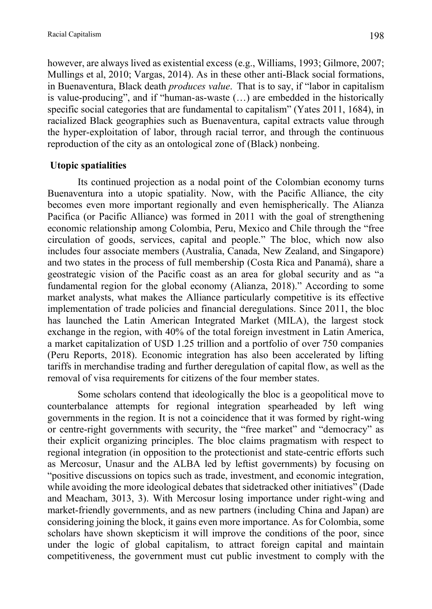however, are always lived as existential excess (e.g., Williams, 1993; Gilmore, 2007; Mullings et al, 2010; Vargas, 2014). As in these other anti-Black social formations, in Buenaventura, Black death *produces value*. That is to say, if "labor in capitalism is value-producing", and if "human-as-waste (…) are embedded in the historically specific social categories that are fundamental to capitalism" (Yates 2011, 1684), in racialized Black geographies such as Buenaventura, capital extracts value through the hyper-exploitation of labor, through racial terror, and through the continuous reproduction of the city as an ontological zone of (Black) nonbeing.

#### **Utopic spatialities**

Its continued projection as a nodal point of the Colombian economy turns Buenaventura into a utopic spatiality. Now, with the Pacific Alliance, the city becomes even more important regionally and even hemispherically. The Alianza Pacifica (or Pacific Alliance) was formed in 2011 with the goal of strengthening economic relationship among Colombia, Peru, Mexico and Chile through the "free circulation of goods, services, capital and people." The bloc, which now also includes four associate members (Australia, Canada, New Zealand, and Singapore) and two states in the process of full membership (Costa Rica and Panamá), share a geostrategic vision of the Pacific coast as an area for global security and as "a fundamental region for the global economy (Alianza, 2018)." According to some market analysts, what makes the Alliance particularly competitive is its effective implementation of trade policies and financial deregulations. Since 2011, the bloc has launched the Latin American Integrated Market (MILA), the largest stock exchange in the region, with 40% of the total foreign investment in Latin America, a market capitalization of U\$D 1.25 trillion and a portfolio of over 750 companies (Peru Reports, 2018). Economic integration has also been accelerated by lifting tariffs in merchandise trading and further deregulation of capital flow, as well as the removal of visa requirements for citizens of the four member states.

Some scholars contend that ideologically the bloc is a geopolitical move to counterbalance attempts for regional integration spearheaded by left wing governments in the region. It is not a coincidence that it was formed by right-wing or centre-right governments with security, the "free market" and "democracy" as their explicit organizing principles. The bloc claims pragmatism with respect to regional integration (in opposition to the protectionist and state-centric efforts such as Mercosur, Unasur and the ALBA led by leftist governments) by focusing on "positive discussions on topics such as trade, investment, and economic integration, while avoiding the more ideological debates that sidetracked other initiatives" (Dade and Meacham, 3013, 3). With Mercosur losing importance under right-wing and market-friendly governments, and as new partners (including China and Japan) are considering joining the block, it gains even more importance. As for Colombia, some scholars have shown skepticism it will improve the conditions of the poor, since under the logic of global capitalism, to attract foreign capital and maintain competitiveness, the government must cut public investment to comply with the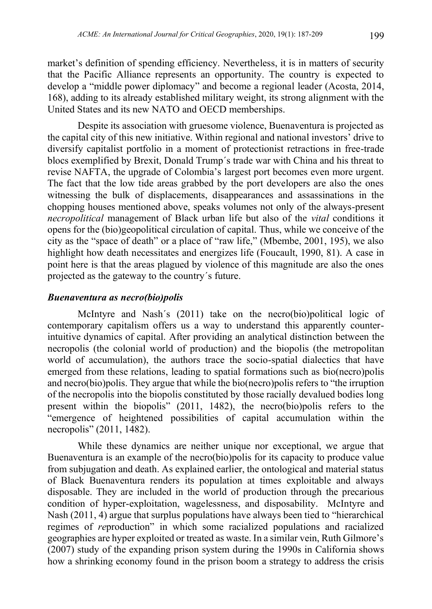market's definition of spending efficiency. Nevertheless, it is in matters of security that the Pacific Alliance represents an opportunity. The country is expected to develop a "middle power diplomacy" and become a regional leader (Acosta, 2014, 168), adding to its already established military weight, its strong alignment with the United States and its new NATO and OECD memberships.

Despite its association with gruesome violence, Buenaventura is projected as the capital city of this new initiative. Within regional and national investors' drive to diversify capitalist portfolio in a moment of protectionist retractions in free-trade blocs exemplified by Brexit, Donald Trump´s trade war with China and his threat to revise NAFTA, the upgrade of Colombia's largest port becomes even more urgent. The fact that the low tide areas grabbed by the port developers are also the ones witnessing the bulk of displacements, disappearances and assassinations in the chopping houses mentioned above, speaks volumes not only of the always-present *necropolitical* management of Black urban life but also of the *vital* conditions it opens for the (bio)geopolitical circulation of capital. Thus, while we conceive of the city as the "space of death" or a place of "raw life," (Mbembe, 2001, 195), we also highlight how death necessitates and energizes life (Foucault, 1990, 81). A case in point here is that the areas plagued by violence of this magnitude are also the ones projected as the gateway to the country´s future.

#### *Buenaventura as necro(bio)polis*

McIntyre and Nash´s (2011) take on the necro(bio)political logic of contemporary capitalism offers us a way to understand this apparently counterintuitive dynamics of capital. After providing an analytical distinction between the necropolis (the colonial world of production) and the biopolis (the metropolitan world of accumulation), the authors trace the socio-spatial dialectics that have emerged from these relations, leading to spatial formations such as bio(necro)polis and necro(bio)polis. They argue that while the bio(necro)polis refers to "the irruption of the necropolis into the biopolis constituted by those racially devalued bodies long present within the biopolis" (2011, 1482), the necro(bio)polis refers to the "emergence of heightened possibilities of capital accumulation within the necropolis" (2011, 1482).

While these dynamics are neither unique nor exceptional, we argue that Buenaventura is an example of the necro(bio)polis for its capacity to produce value from subjugation and death. As explained earlier, the ontological and material status of Black Buenaventura renders its population at times exploitable and always disposable. They are included in the world of production through the precarious condition of hyper-exploitation, wagelessness, and disposability. McIntyre and Nash (2011, 4) argue that surplus populations have always been tied to "hierarchical regimes of *re*production" in which some racialized populations and racialized geographies are hyper exploited or treated as waste. In a similar vein, Ruth Gilmore's (2007) study of the expanding prison system during the 1990s in California shows how a shrinking economy found in the prison boom a strategy to address the crisis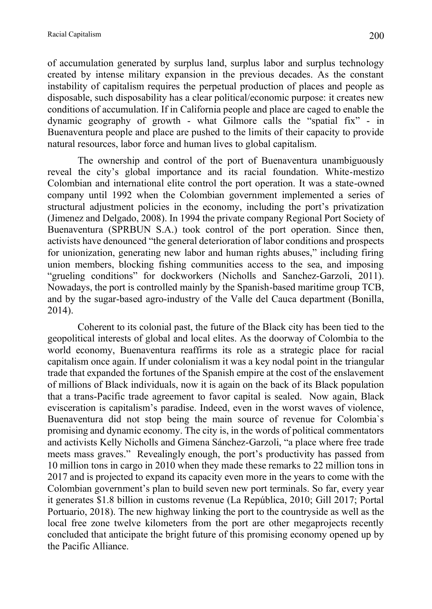of accumulation generated by surplus land, surplus labor and surplus technology created by intense military expansion in the previous decades. As the constant instability of capitalism requires the perpetual production of places and people as disposable, such disposability has a clear political/economic purpose: it creates new conditions of accumulation. If in California people and place are caged to enable the dynamic geography of growth - what Gilmore calls the "spatial fix" - in Buenaventura people and place are pushed to the limits of their capacity to provide natural resources, labor force and human lives to global capitalism.

The ownership and control of the port of Buenaventura unambiguously reveal the city's global importance and its racial foundation. White-mestizo Colombian and international elite control the port operation. It was a state-owned company until 1992 when the Colombian government implemented a series of structural adjustment policies in the economy, including the port's privatization (Jimenez and Delgado, 2008). In 1994 the private company Regional Port Society of Buenaventura (SPRBUN S.A.) took control of the port operation. Since then, activists have denounced "the general deterioration of labor conditions and prospects for unionization, generating new labor and human rights abuses," including firing union members, blocking fishing communities access to the sea, and imposing "grueling conditions" for dockworkers (Nicholls and Sanchez-Garzoli, 2011). Nowadays, the port is controlled mainly by the Spanish-based maritime group TCB, and by the sugar-based agro-industry of the Valle del Cauca department (Bonilla, 2014).

Coherent to its colonial past, the future of the Black city has been tied to the geopolitical interests of global and local elites. As the doorway of Colombia to the world economy, Buenaventura reaffirms its role as a strategic place for racial capitalism once again. If under colonialism it was a key nodal point in the triangular trade that expanded the fortunes of the Spanish empire at the cost of the enslavement of millions of Black individuals, now it is again on the back of its Black population that a trans-Pacific trade agreement to favor capital is sealed. Now again, Black evisceration is capitalism's paradise. Indeed, even in the worst waves of violence, Buenaventura did not stop being the main source of revenue for Colombia`s promising and dynamic economy. The city is, in the words of political commentators and activists Kelly Nicholls and Gimena Sánchez-Garzoli, "a place where free trade meets mass graves." Revealingly enough, the port's productivity has passed from 10 million tons in cargo in 2010 when they made these remarks to 22 million tons in 2017 and is projected to expand its capacity even more in the years to come with the Colombian government's plan to build seven new port terminals. So far, every year it generates \$1.8 billion in customs revenue (La República, 2010; Gill 2017; Portal Portuario, 2018). The new highway linking the port to the countryside as well as the local free zone twelve kilometers from the port are other megaprojects recently concluded that anticipate the bright future of this promising economy opened up by the Pacific Alliance.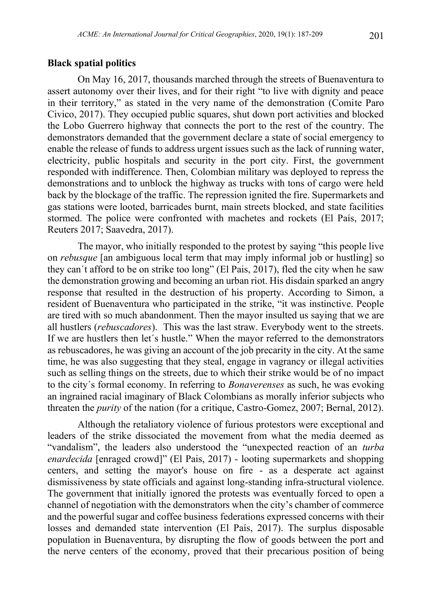#### **Black spatial politics**

On May 16, 2017, thousands marched through the streets of Buenaventura to assert autonomy over their lives, and for their right "to live with dignity and peace in their territory," as stated in the very name of the demonstration (Comite Paro Civico, 2017). They occupied public squares, shut down port activities and blocked the Lobo Guerrero highway that connects the port to the rest of the country. The demonstrators demanded that the government declare a state of social emergency to enable the release of funds to address urgent issues such as the lack of running water, electricity, public hospitals and security in the port city. First, the government responded with indifference. Then, Colombian military was deployed to repress the demonstrations and to unblock the highway as trucks with tons of cargo were held back by the blockage of the traffic. The repression ignited the fire. Supermarkets and gas stations were looted, barricades burnt, main streets blocked, and state facilities stormed. The police were confronted with machetes and rockets (El País, 2017; Reuters 2017; Saavedra, 2017).

The mayor, who initially responded to the protest by saying "this people live on *rebusque* [an ambiguous local term that may imply informal job or hustling] so they can´t afford to be on strike too long" (El Pais, 2017), fled the city when he saw the demonstration growing and becoming an urban riot. His disdain sparked an angry response that resulted in the destruction of his property. According to Simon, a resident of Buenaventura who participated in the strike, "it was instinctive. People are tired with so much abandonment. Then the mayor insulted us saying that we are all hustlers (*rebuscadores*). This was the last straw. Everybody went to the streets. If we are hustlers then let´s hustle." When the mayor referred to the demonstrators as rebuscadores, he was giving an account of the job precarity in the city. At the same time, he was also suggesting that they steal, engage in vagrancy or illegal activities such as selling things on the streets, due to which their strike would be of no impact to the city´s formal economy. In referring to *Bonaverenses* as such, he was evoking an ingrained racial imaginary of Black Colombians as morally inferior subjects who threaten the *purity* of the nation (for a critique, Castro-Gomez, 2007; Bernal, 2012).

Although the retaliatory violence of furious protestors were exceptional and leaders of the strike dissociated the movement from what the media deemed as "vandalism", the leaders also understood the "unexpected reaction of an *turba enardecida* [enraged crowd]" (El Pais, 2017) - looting supermarkets and shopping centers, and setting the mayor's house on fire - as a desperate act against dismissiveness by state officials and against long-standing infra-structural violence. The government that initially ignored the protests was eventually forced to open a channel of negotiation with the demonstrators when the city's chamber of commerce and the powerful sugar and coffee business federations expressed concerns with their losses and demanded state intervention (El País, 2017). The surplus disposable population in Buenaventura, by disrupting the flow of goods between the port and the nerve centers of the economy, proved that their precarious position of being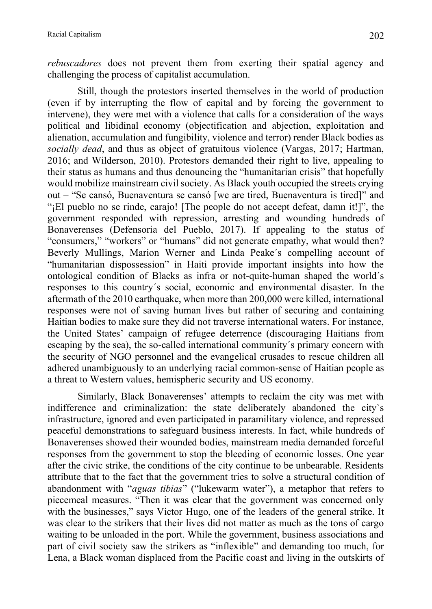*rebuscadores* does not prevent them from exerting their spatial agency and challenging the process of capitalist accumulation.

Still, though the protestors inserted themselves in the world of production (even if by interrupting the flow of capital and by forcing the government to intervene), they were met with a violence that calls for a consideration of the ways political and libidinal economy (objectification and abjection, exploitation and alienation, accumulation and fungibility, violence and terror) render Black bodies as *socially dead*, and thus as object of gratuitous violence (Vargas, 2017; Hartman, 2016; and Wilderson, 2010). Protestors demanded their right to live, appealing to their status as humans and thus denouncing the "humanitarian crisis" that hopefully would mobilize mainstream civil society. As Black youth occupied the streets crying out – "Se cansó, Buenaventura se cansó [we are tired, Buenaventura is tired]" and "¡El pueblo no se rinde, carajo! [The people do not accept defeat, damn it!]", the government responded with repression, arresting and wounding hundreds of Bonaverenses (Defensoria del Pueblo, 2017). If appealing to the status of "consumers," "workers" or "humans" did not generate empathy, what would then? Beverly Mullings, Marion Werner and Linda Peake´s compelling account of "humanitarian dispossession" in Haiti provide important insights into how the ontological condition of Blacks as infra or not-quite-human shaped the world´s responses to this country´s social, economic and environmental disaster. In the aftermath of the 2010 earthquake, when more than 200,000 were killed, international responses were not of saving human lives but rather of securing and containing Haitian bodies to make sure they did not traverse international waters. For instance, the United States' campaign of refugee deterrence (discouraging Haitians from escaping by the sea), the so-called international community´s primary concern with the security of NGO personnel and the evangelical crusades to rescue children all adhered unambiguously to an underlying racial common-sense of Haitian people as a threat to Western values, hemispheric security and US economy.

Similarly, Black Bonaverenses' attempts to reclaim the city was met with indifference and criminalization: the state deliberately abandoned the city`s infrastructure, ignored and even participated in paramilitary violence, and repressed peaceful demonstrations to safeguard business interests. In fact, while hundreds of Bonaverenses showed their wounded bodies, mainstream media demanded forceful responses from the government to stop the bleeding of economic losses. One year after the civic strike, the conditions of the city continue to be unbearable. Residents attribute that to the fact that the government tries to solve a structural condition of abandonment with "*aguas tibias*" ("lukewarm water"), a metaphor that refers to piecemeal measures. "Then it was clear that the government was concerned only with the businesses," says Victor Hugo, one of the leaders of the general strike. It was clear to the strikers that their lives did not matter as much as the tons of cargo waiting to be unloaded in the port. While the government, business associations and part of civil society saw the strikers as "inflexible" and demanding too much, for Lena, a Black woman displaced from the Pacific coast and living in the outskirts of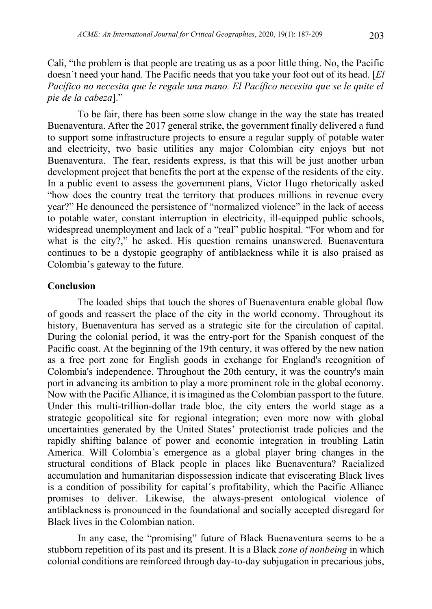Cali, "the problem is that people are treating us as a poor little thing. No, the Pacific doesn´t need your hand. The Pacific needs that you take your foot out of its head. [*El Pacífico no necesita que le regale una mano. El Pacífico necesita que se le quite el pie de la cabeza*]."

To be fair, there has been some slow change in the way the state has treated Buenaventura. After the 2017 general strike, the government finally delivered a fund to support some infrastructure projects to ensure a regular supply of potable water and electricity, two basic utilities any major Colombian city enjoys but not Buenaventura. The fear, residents express, is that this will be just another urban development project that benefits the port at the expense of the residents of the city. In a public event to assess the government plans, Victor Hugo rhetorically asked "how does the country treat the territory that produces millions in revenue every year?" He denounced the persistence of "normalized violence" in the lack of access to potable water, constant interruption in electricity, ill-equipped public schools, widespread unemployment and lack of a "real" public hospital. "For whom and for what is the city?," he asked. His question remains unanswered. Buenaventura continues to be a dystopic geography of antiblackness while it is also praised as Colombia's gateway to the future.

#### **Conclusion**

The loaded ships that touch the shores of Buenaventura enable global flow of goods and reassert the place of the city in the world economy. Throughout its history, Buenaventura has served as a strategic site for the circulation of capital. During the colonial period, it was the entry-port for the Spanish conquest of the Pacific coast. At the beginning of the 19th century, it was offered by the new nation as a free port zone for English goods in exchange for England's recognition of Colombia's independence. Throughout the 20th century, it was the country's main port in advancing its ambition to play a more prominent role in the global economy. Now with the Pacific Alliance, it is imagined as the Colombian passport to the future. Under this multi-trillion-dollar trade bloc, the city enters the world stage as a strategic geopolitical site for regional integration; even more now with global uncertainties generated by the United States' protectionist trade policies and the rapidly shifting balance of power and economic integration in troubling Latin America. Will Colombia´s emergence as a global player bring changes in the structural conditions of Black people in places like Buenaventura? Racialized accumulation and humanitarian dispossession indicate that eviscerating Black lives is a condition of possibility for capital´s profitability, which the Pacific Alliance promises to deliver. Likewise, the always-present ontological violence of antiblackness is pronounced in the foundational and socially accepted disregard for Black lives in the Colombian nation.

In any case, the "promising" future of Black Buenaventura seems to be a stubborn repetition of its past and its present. It is a Black *zone of nonbeing* in which colonial conditions are reinforced through day-to-day subjugation in precarious jobs,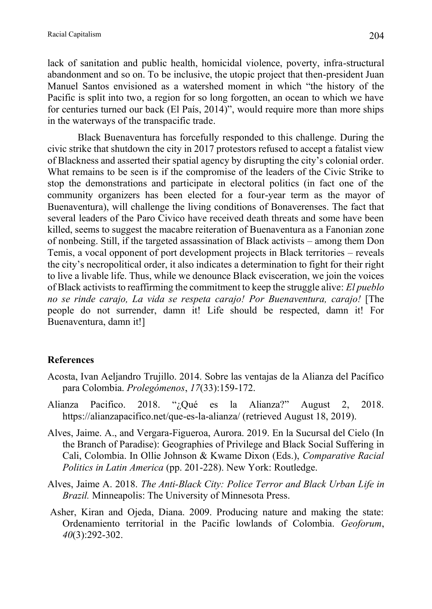lack of sanitation and public health, homicidal violence, poverty, infra-structural abandonment and so on. To be inclusive, the utopic project that then-president Juan Manuel Santos envisioned as a watershed moment in which "the history of the Pacific is split into two, a region for so long forgotten, an ocean to which we have for centuries turned our back (El País, 2014)", would require more than more ships in the waterways of the transpacific trade.

Black Buenaventura has forcefully responded to this challenge. During the civic strike that shutdown the city in 2017 protestors refused to accept a fatalist view of Blackness and asserted their spatial agency by disrupting the city's colonial order. What remains to be seen is if the compromise of the leaders of the Civic Strike to stop the demonstrations and participate in electoral politics (in fact one of the community organizers has been elected for a four-year term as the mayor of Buenaventura), will challenge the living conditions of Bonaverenses. The fact that several leaders of the Paro Civico have received death threats and some have been killed, seems to suggest the macabre reiteration of Buenaventura as a Fanonian zone of nonbeing. Still, if the targeted assassination of Black activists – among them Don Temis, a vocal opponent of port development projects in Black territories – reveals the city's necropolitical order, it also indicates a determination to fight for their right to live a livable life. Thus, while we denounce Black evisceration, we join the voices of Black activists to reaffirming the commitment to keep the struggle alive: *El pueblo no se rinde carajo, La vida se respeta carajo! Por Buenaventura, carajo!* [The people do not surrender, damn it! Life should be respected, damn it! For Buenaventura, damn it!]

# **References**

- Acosta, Ivan Aeljandro Trujillo. 2014. Sobre las ventajas de la Alianza del Pacífico para Colombia. *Prolegómenos*, *17*(33):159-172.
- Alianza Pacifico. 2018. "¿Qué es la Alianza?" August 2, 2018. https://alianzapacifico.net/que-es-la-alianza/ (retrieved August 18, 2019).
- Alves, Jaime. A., and Vergara-Figueroa, Aurora. 2019. En la Sucursal del Cielo (In the Branch of Paradise): Geographies of Privilege and Black Social Suffering in Cali, Colombia. In Ollie Johnson & Kwame Dixon (Eds.), *Comparative Racial Politics in Latin America* (pp. 201-228). New York: Routledge.
- Alves, Jaime A. 2018. *The Anti-Black City: Police Terror and Black Urban Life in Brazil.* Minneapolis: The University of Minnesota Press.
- Asher, Kiran and Ojeda, Diana. 2009. Producing nature and making the state: Ordenamiento territorial in the Pacific lowlands of Colombia. *Geoforum*, *40*(3):292-302.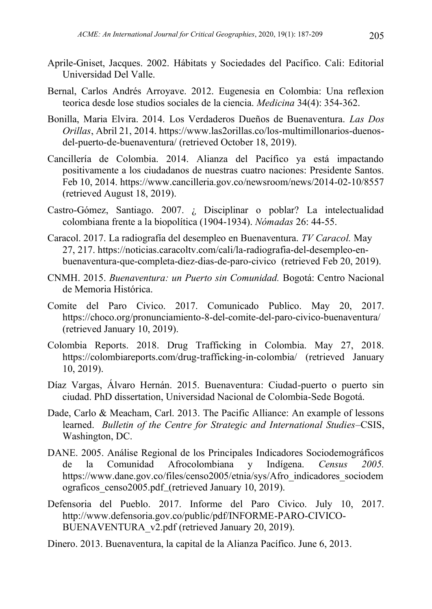- Aprile-Gniset, Jacques. 2002. Hábitats y Sociedades del Pacífico. Cali: Editorial Universidad Del Valle.
- Bernal, Carlos Andrés Arroyave. 2012. Eugenesia en Colombia: Una reflexion teorica desde lose studios sociales de la ciencia. *Medicina* 34(4): 354-362.
- Bonilla, Maria Elvira. 2014. Los Verdaderos Dueños de Buenaventura. *Las Dos Orillas*, Abril 21, 2014. https://www.las2orillas.co/los-multimillonarios-duenosdel-puerto-de-buenaventura/ (retrieved October 18, 2019).
- Cancillería de Colombia. 2014. Alianza del Pacífico ya está impactando positivamente a los ciudadanos de nuestras cuatro naciones: Presidente Santos. Feb 10, 2014. https://www.cancilleria.gov.co/newsroom/news/2014-02-10/8557 (retrieved August 18, 2019).
- Castro-Gómez, Santiago. 2007. ¿ Disciplinar o poblar? La intelectualidad colombiana frente a la biopolítica (1904-1934). *Nómadas* 26: 44-55.
- Caracol. 2017. La radiografía del desempleo en Buenaventura. *TV Caracol.* May 27, 217. https://noticias.caracoltv.com/cali/la-radiografia-del-desempleo-enbuenaventura-que-completa-diez-dias-de-paro-civico (retrieved Feb 20, 2019).
- CNMH. 2015. *Buenaventura: un Puerto sin Comunidad.* Bogotá: Centro Nacional de Memoria Histórica.
- Comite del Paro Civico. 2017. Comunicado Publico. May 20, 2017. https://choco.org/pronunciamiento-8-del-comite-del-paro-civico-buenaventura/ (retrieved January 10, 2019).
- Colombia Reports. 2018. Drug Trafficking in Colombia. May 27, 2018. https://colombiareports.com/drug-trafficking-in-colombia/ (retrieved January 10, 2019).
- Díaz Vargas, Álvaro Hernán. 2015. Buenaventura: Ciudad-puerto o puerto sin ciudad. PhD dissertation, Universidad Nacional de Colombia-Sede Bogotá.
- Dade, Carlo & Meacham, Carl. 2013. The Pacific Alliance: An example of lessons learned. *Bulletin of the Centre for Strategic and International Studies*–CSIS, Washington, DC.
- DANE. 2005. Análise Regional de los Principales Indicadores Sociodemográficos de la Comunidad Afrocolombiana y Indígena. *Census 2005.*  https://www.dane.gov.co/files/censo2005/etnia/sys/Afro\_indicadores\_sociodem ograficos censo2005.pdf (retrieved January 10, 2019).
- Defensoria del Pueblo. 2017. Informe del Paro Civico. July 10, 2017. http://www.defensoria.gov.co/public/pdf/INFORME-PARO-CIVICO-BUENAVENTURA\_v2.pdf (retrieved January 20, 2019).
- Dinero. 2013. Buenaventura, la capital de la Alianza Pacífico. June 6, 2013.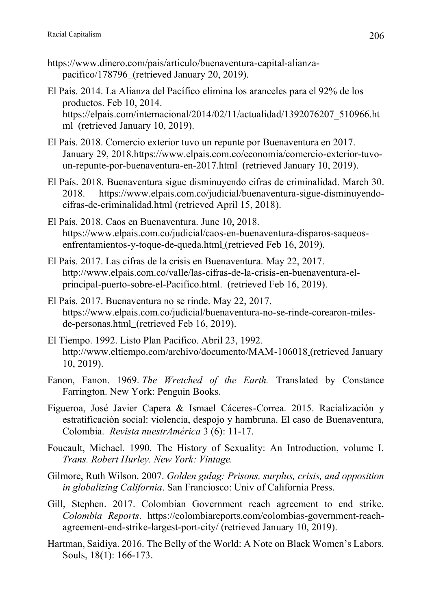- https://www.dinero.com/pais/articulo/buenaventura-capital-alianzapacifico/178796 (retrieved January 20, 2019).
- El País. 2014. La Alianza del Pacífico elimina los aranceles para el 92% de los productos. Feb 10, 2014. https://elpais.com/internacional/2014/02/11/actualidad/1392076207\_510966.ht ml (retrieved January 10, 2019).
- El País. 2018. Comercio exterior tuvo un repunte por Buenaventura en 2017. January 29, 2018.https://www.elpais.com.co/economia/comercio-exterior-tuvoun-repunte-por-buenaventura-en-2017.html (retrieved January 10, 2019).
- El País. 2018. Buenaventura sigue disminuyendo cifras de criminalidad. March 30. 2018. https://www.elpais.com.co/judicial/buenaventura-sigue-disminuyendocifras-de-criminalidad.html (retrieved April 15, 2018).
- El País. 2018. Caos en Buenaventura. June 10, 2018. https://www.elpais.com.co/judicial/caos-en-buenaventura-disparos-saqueosenfrentamientos-y-toque-de-queda.html (retrieved Feb 16, 2019).
- El País. 2017. Las cifras de la crisis en Buenaventura. May 22, 2017. http://www.elpais.com.co/valle/las-cifras-de-la-crisis-en-buenaventura-elprincipal-puerto-sobre-el-Pacifico.html. (retrieved Feb 16, 2019).
- El País. 2017. Buenaventura no se rinde. May 22, 2017. https://www.elpais.com.co/judicial/buenaventura-no-se-rinde-corearon-milesde-personas.html\_(retrieved Feb 16, 2019).
- El Tiempo. 1992. Listo Plan Pacifico. Abril 23, 1992. http://www.eltiempo.com/archivo/documento/MAM-106018 (retrieved January 10, 2019).
- Fanon, Fanon. 1969. *The Wretched of the Earth.* Translated by Constance Farrington. New York: Penguin Books.
- Figueroa, José Javier Capera & Ismael Cáceres-Correa. 2015. Racialización y estratificación social: violencia, despojo y hambruna. El caso de Buenaventura, Colombia. *Revista nuestrAmérica* 3 (6): 11-17.
- Foucault, Michael. 1990. The History of Sexuality: An Introduction, volume I*. Trans. Robert Hurley. New York: Vintage.*
- Gilmore, Ruth Wilson. 2007. *Golden gulag: Prisons, surplus, crisis, and opposition in globalizing California*. San Franciosco: Univ of California Press.
- Gill, Stephen. 2017. Colombian Government reach agreement to end strike*. Colombia Reports*. https://colombiareports.com/colombias-government-reachagreement-end-strike-largest-port-city/ (retrieved January 10, 2019).
- Hartman, Saidiya. 2016. The Belly of the World: A Note on Black Women's Labors. Souls, 18(1): 166-173.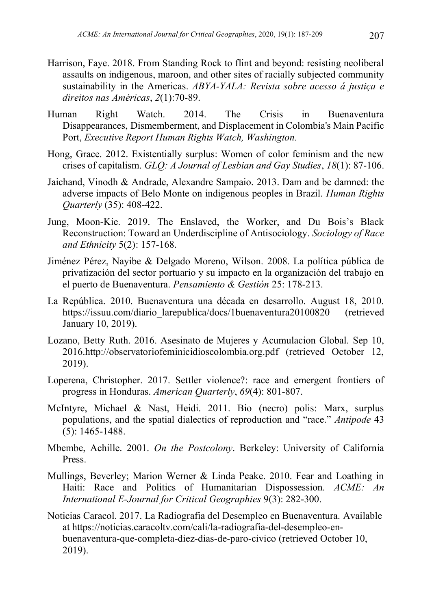- Harrison, Faye. 2018. From Standing Rock to flint and beyond: resisting neoliberal assaults on indigenous, maroon, and other sites of racially subjected community sustainability in the Americas. *ABYA-YALA: Revista sobre acesso á justiça e direitos nas Américas*, *2*(1):70-89.
- Human Right Watch. 2014. The Crisis in Buenaventura Disappearances, Dismemberment, and Displacement in Colombia's Main Pacific Port, *Executive Report Human Rights Watch, Washington.*
- Hong, Grace. 2012. Existentially surplus: Women of color feminism and the new crises of capitalism. *GLQ: A Journal of Lesbian and Gay Studies*, *18*(1): 87-106.
- Jaichand, Vinodh & Andrade, Alexandre Sampaio. 2013. Dam and be damned: the adverse impacts of Belo Monte on indigenous peoples in Brazil. *Human Rights Quarterly* (35): 408-422.
- Jung, Moon-Kie. 2019. The Enslaved, the Worker, and Du Bois's Black Reconstruction: Toward an Underdiscipline of Antisociology. *Sociology of Race and Ethnicity* 5(2): 157-168.
- Jiménez Pérez, Nayibe & Delgado Moreno, Wilson. 2008. La política pública de privatización del sector portuario y su impacto en la organización del trabajo en el puerto de Buenaventura. *Pensamiento & Gestión* 25: 178-213.
- La República. 2010. Buenaventura una década en desarrollo. August 18, 2010. https://issuu.com/diario\_larepublica/docs/1buenaventura20100820\_\_(retrieved January 10, 2019).
- Lozano, Betty Ruth. 2016. Asesinato de Mujeres y Acumulacion Global. Sep 10, 2016.http://observatoriofeminicidioscolombia.org.pdf (retrieved October 12, 2019).
- Loperena, Christopher. 2017. Settler violence?: race and emergent frontiers of progress in Honduras. *American Quarterly*, *69*(4): 801-807.
- McIntyre, Michael & Nast, Heidi. 2011. Bio (necro) polis: Marx, surplus populations, and the spatial dialectics of reproduction and "race." *Antipode* 43 (5): 1465-1488.
- Mbembe, Achille. 2001. *On the Postcolony*. Berkeley: University of California Press.
- Mullings, Beverley; Marion Werner & Linda Peake. 2010. Fear and Loathing in Haiti: Race and Politics of Humanitarian Dispossession. *ACME: An International E-Journal for Critical Geographies* 9(3): 282-300.
- Noticias Caracol. 2017. La Radiografia del Desempleo en Buenaventura. Available at https://noticias.caracoltv.com/cali/la-radiografia-del-desempleo-enbuenaventura-que-completa-diez-dias-de-paro-civico (retrieved October 10, 2019).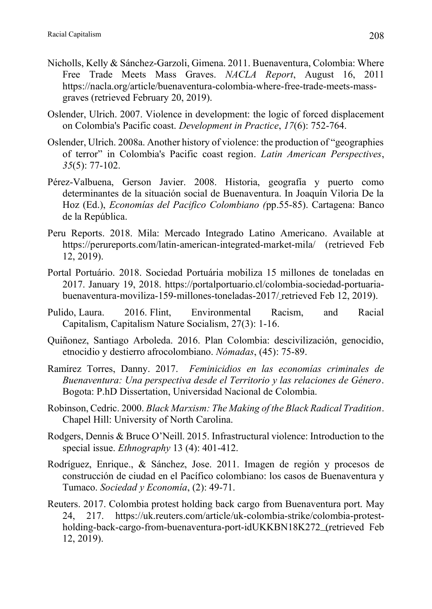- Nicholls, Kelly & Sánchez-Garzoli, Gimena. 2011. Buenaventura, Colombia: Where Free Trade Meets Mass Graves. *NACLA Report*, August 16, 2011 https://nacla.org/article/buenaventura-colombia-where-free-trade-meets-massgraves (retrieved February 20, 2019).
- Oslender, Ulrich. 2007. Violence in development: the logic of forced displacement on Colombia's Pacific coast. *Development in Practice*, *17*(6): 752-764.
- Oslender, Ulrich. 2008a. Another history of violence: the production of "geographies of terror" in Colombia's Pacific coast region. *Latin American Perspectives*, *35*(5): 77-102.
- Pérez-Valbuena, Gerson Javier. 2008. Historia, geografía y puerto como determinantes de la situación social de Buenaventura. In Joaquín Viloria De la Hoz (Ed.), *Economías del Pacifico Colombiano (*pp.55-85). Cartagena: Banco de la República.
- Peru Reports. 2018. Mila: Mercado Integrado Latino Americano. Available at https://perureports.com/latin-american-integrated-market-mila/ (retrieved Feb 12, 2019).
- Portal Portuário. 2018. Sociedad Portuária mobiliza 15 millones de toneladas en 2017. January 19, 2018. https://portalportuario.cl/colombia-sociedad-portuariabuenaventura-moviliza-159-millones-toneladas-2017/ retrieved Feb 12, 2019).
- Pulido, Laura. 2016. Flint, Environmental Racism, and Racial Capitalism, Capitalism Nature Socialism, 27(3): 1-16.
- Quiñonez, Santiago Arboleda. 2016. Plan Colombia: descivilización, genocidio, etnocidio y destierro afrocolombiano. *Nómadas*, (45): 75-89.
- Ramírez Torres, Danny. 2017. *Feminicidios en las economías criminales de Buenaventura: Una perspectiva desde el Territorio y las relaciones de Género*. Bogota: P.hD Dissertation, Universidad Nacional de Colombia.
- Robinson, Cedric. 2000. *Black Marxism: The Making of the Black Radical Tradition*. Chapel Hill: University of North Carolina.
- Rodgers, Dennis & Bruce O'Neill. 2015. Infrastructural violence: Introduction to the special issue. *Ethnography* 13 (4): 401-412.
- Rodríguez, Enrique., & Sánchez, Jose. 2011. Imagen de región y procesos de construcción de ciudad en el Pacífico colombiano: los casos de Buenaventura y Tumaco. *Sociedad y Economía*, (2): 49-71.
- Reuters. 2017. Colombia protest holding back cargo from Buenaventura port. May 24, 217. https://uk.reuters.com/article/uk-colombia-strike/colombia-protestholding-back-cargo-from-buenaventura-port-idUKKBN18K272 (retrieved Feb 12, 2019).